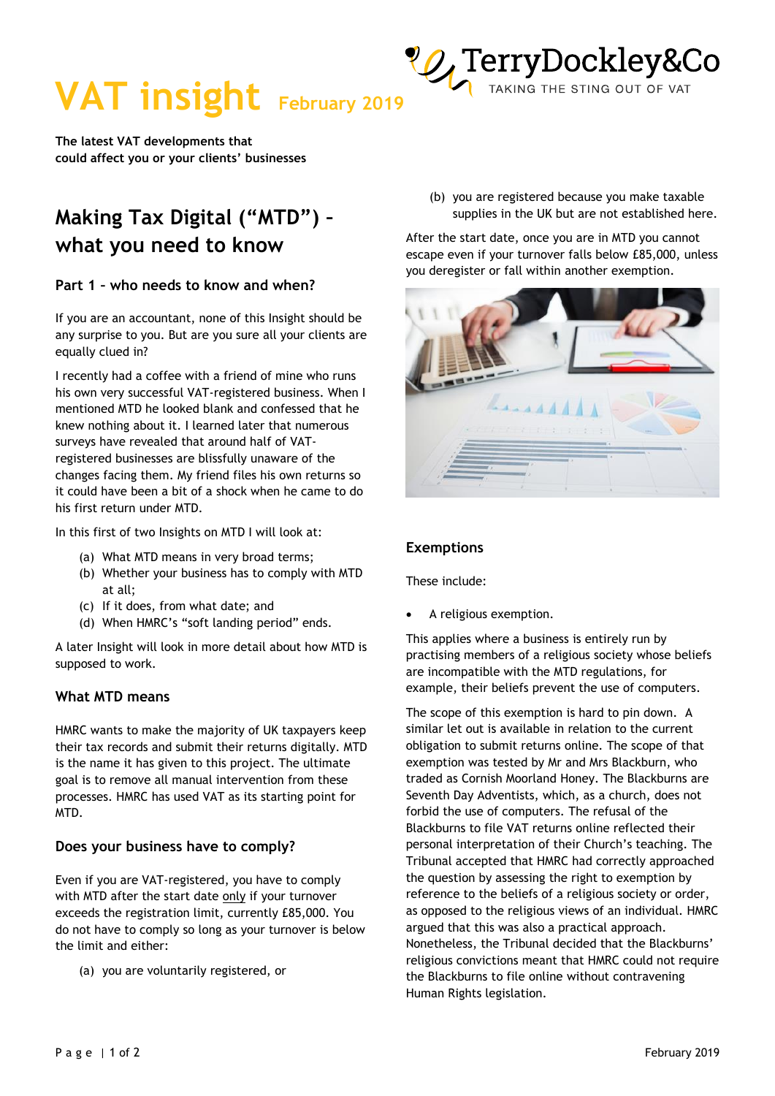

**The latest VAT developments that could affect you or your clients' businesses** 

# **Making Tax Digital ("MTD") – what you need to know**

# **Part 1 – who needs to know and when?**

If you are an accountant, none of this Insight should be any surprise to you. But are you sure all your clients are equally clued in?

I recently had a coffee with a friend of mine who runs his own very successful VAT-registered business. When I mentioned MTD he looked blank and confessed that he knew nothing about it. I learned later that numerous surveys have revealed that around half of VATregistered businesses are blissfully unaware of the changes facing them. My friend files his own returns so it could have been a bit of a shock when he came to do his first return under MTD.

In this first of two Insights on MTD I will look at:

- (a) What MTD means in very broad terms;
- (b) Whether your business has to comply with MTD at all;
- (c) If it does, from what date; and
- (d) When HMRC's "soft landing period" ends.

A later Insight will look in more detail about how MTD is supposed to work.

# **What MTD means**

HMRC wants to make the majority of UK taxpayers keep their tax records and submit their returns digitally. MTD is the name it has given to this project. The ultimate goal is to remove all manual intervention from these processes. HMRC has used VAT as its starting point for MTD.

# **Does your business have to comply?**

Even if you are VAT-registered, you have to comply with MTD after the start date only if your turnover exceeds the registration limit, currently £85,000. You do not have to comply so long as your turnover is below the limit and either:

(a) you are voluntarily registered, or

(b) you are registered because you make taxable supplies in the UK but are not established here.

TAKING THE STING OUT OF VAT

After the start date, once you are in MTD you cannot escape even if your turnover falls below £85,000, unless you deregister or fall within another exemption.



#### **Exemptions**

These include:

• A religious exemption.

This applies where a business is entirely run by practising members of a religious society whose beliefs are incompatible with the MTD regulations, for example, their beliefs prevent the use of computers.

The scope of this exemption is hard to pin down. A similar let out is available in relation to the current obligation to submit returns online. The scope of that exemption was tested by Mr and Mrs Blackburn, who traded as Cornish Moorland Honey. The Blackburns are Seventh Day Adventists, which, as a church, does not forbid the use of computers. The refusal of the Blackburns to file VAT returns online reflected their personal interpretation of their Church's teaching. The Tribunal accepted that HMRC had correctly approached the question by assessing the right to exemption by reference to the beliefs of a religious society or order, as opposed to the religious views of an individual. HMRC argued that this was also a practical approach. Nonetheless, the Tribunal decided that the Blackburns' religious convictions meant that HMRC could not require the Blackburns to file online without contravening Human Rights legislation.